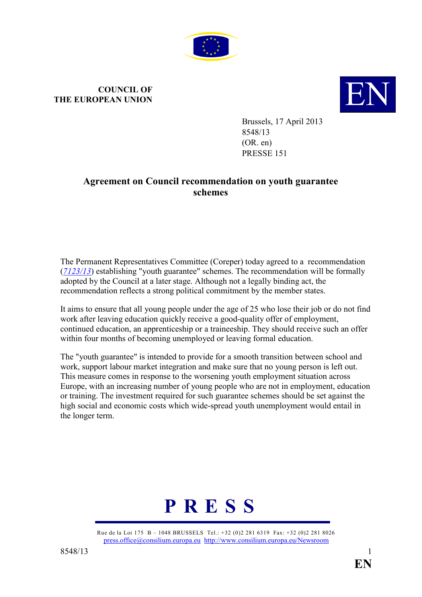

## **COUNCIL OF THE EUROPEAN UNION**



Brussels, 17 April 2013 8548/13 (OR. en) PRESSE 151

## **Agreement on Council recommendation on youth guarantee schemes**

The Permanent Representatives Committee (Coreper) today agreed to a recommendation (*[7123/13](http://register.consilium.europa.eu/pdf/en/13/st07/st07123.en13.pdf)*) establishing "youth guarantee" schemes. The recommendation will be formally adopted by the Council at a later stage. Although not a legally binding act, the recommendation reflects a strong political commitment by the member states.

It aims to ensure that all young people under the age of 25 who lose their job or do not find work after leaving education quickly receive a good-quality offer of employment, continued education, an apprenticeship or a traineeship. They should receive such an offer within four months of becoming unemployed or leaving formal education.

The "youth guarantee" is intended to provide for a smooth transition between school and work, support labour market integration and make sure that no young person is left out. This measure comes in response to the worsening youth employment situation across Europe, with an increasing number of young people who are not in employment, education or training. The investment required for such guarantee schemes should be set against the high social and economic costs which wide-spread youth unemployment would entail in the longer term.



Rue de la Loi 175 B – 1048 BRUSSELS Tel.: +32 (0)2 281 6319 Fax: +32 (0)2 281 8026 [press.office@consilium.europa.eu](mailto:press.office@consilium.europa.eu) <http://www.consilium.europa.eu/Newsroom>